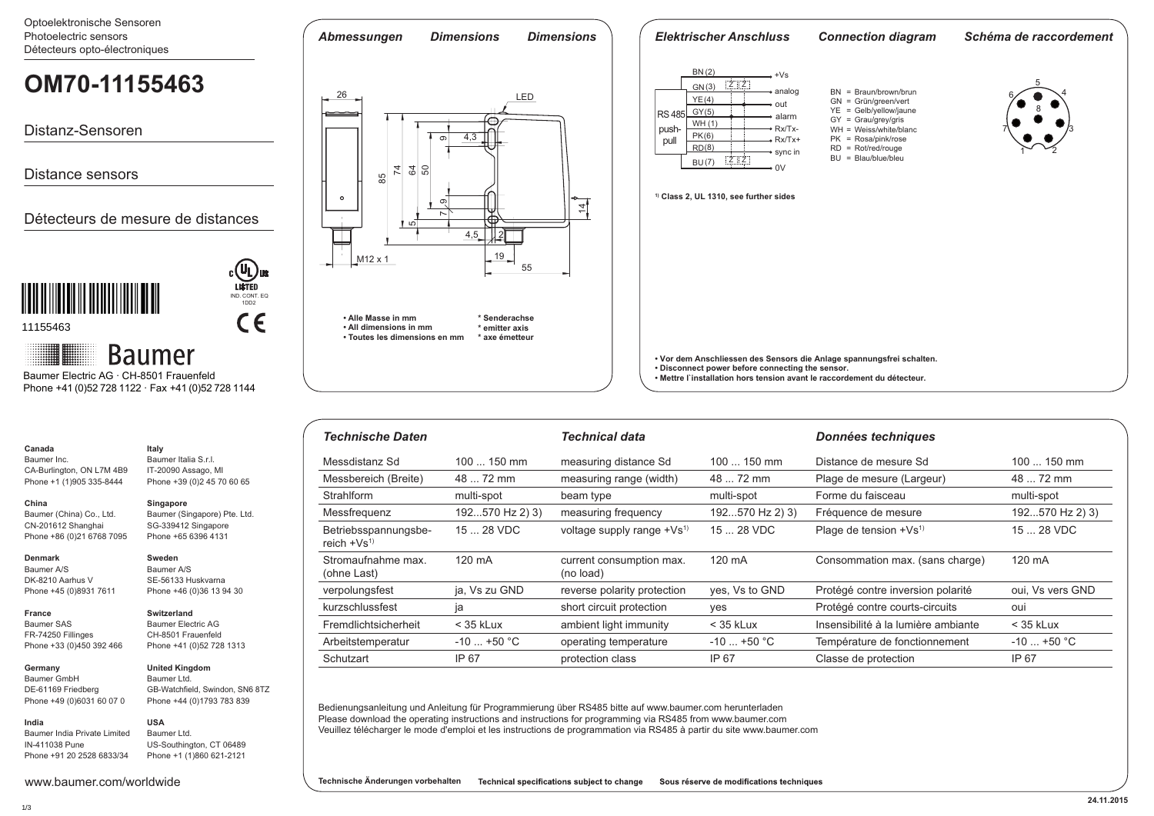Optoelektronische Sensoren Photoelectric sensors

| Optoelevingillische Oelisoren<br>Photoelectric sensors<br>Détecteurs opto-électroniques                            | <b>Dimensions</b><br>Abmessungen<br><b>Dimensions</b>                                                                                    | <b>Elektrischer Anschluss</b>                                                                                                                                                                         | <b>Connection diagram</b>                                                                                                       | Schéma de raccordement |
|--------------------------------------------------------------------------------------------------------------------|------------------------------------------------------------------------------------------------------------------------------------------|-------------------------------------------------------------------------------------------------------------------------------------------------------------------------------------------------------|---------------------------------------------------------------------------------------------------------------------------------|------------------------|
| OM70-11155463                                                                                                      | 26<br>LED                                                                                                                                | BN(2)<br>$Z$ $Z$<br>GN(3)<br>analog<br>YE(4)<br>out                                                                                                                                                   | $BN = Braun/brown/brun$<br>$GN =$ Grün/green/vert                                                                               |                        |
| Distanz-Sensoren                                                                                                   | عصص<br>4,3<br>$\infty$                                                                                                                   | GY(5)<br><b>RS485</b><br>alarm<br>WH(1)<br>$\sim$ Rx/Tx-<br>push-<br>PK(6)<br>$\bullet$ Rx/Tx+<br>pull<br>RD(8)<br>⊸ sync in                                                                          | $YE = Gelb/yellow/jaune$<br>$GY = Grau/grey/gris$<br>$WH = Weiss/white/b$ lanc<br>$PK = Rosa/pink/rose$<br>$RD = Rot/red/rouge$ |                        |
| <b>Distance sensors</b>                                                                                            | $\frac{5}{4}$<br>읾                                                                                                                       | $Z$ $Z$<br>BU (7)<br>0 <sup>1</sup>                                                                                                                                                                   | $BU = Blau/blue/bleu$                                                                                                           |                        |
| Détecteurs de mesure de distances                                                                                  | ⊷<br>တ<br>4<br>≬ ம∏<br>4,5<br>19<br>M12 x 1                                                                                              | <sup>1)</sup> Class 2, UL 1310, see further sides                                                                                                                                                     |                                                                                                                                 |                        |
| $c$ $\overline{U_{L}}$ us<br><b>LISTED</b><br>IND. CONT. EQ<br>1DD <sub>2</sub><br>C€<br>11155463                  | 55<br>• Alle Masse in mm<br>* Senderachse<br>* emitter axis<br>. All dimensions in mm<br>• Toutes les dimensions en mm<br>* axe émetteur |                                                                                                                                                                                                       |                                                                                                                                 |                        |
| ₩<br><b>Baumer</b><br>Baumer Electric AG · CH-8501 Frauenfeld<br>Phone +41 (0)52 728 1122 · Fax +41 (0)52 728 1144 |                                                                                                                                          | • Vor dem Anschliessen des Sensors die Anlage spannungsfrei schalten.<br>• Disconnect power before connecting the sensor.<br>. Mettre l'installation hors tension avant le raccordement du détecteur. |                                                                                                                                 |                        |
|                                                                                                                    |                                                                                                                                          |                                                                                                                                                                                                       |                                                                                                                                 |                        |

| Technische Daten                     |                 | Technical data                         |                 | Données techniques                  |                  |
|--------------------------------------|-----------------|----------------------------------------|-----------------|-------------------------------------|------------------|
| Messdistanz Sd                       | $100150$ mm     | measuring distance Sd                  | $100150$ mm     | Distance de mesure Sd               | $100150$ mm      |
| Messbereich (Breite)                 | 48  72 mm       | measuring range (width)                | 48  72 mm       | Plage de mesure (Largeur)           | 48  72 mm        |
| <b>Strahlform</b>                    | multi-spot      | beam type                              | multi-spot      | Forme du faisceau                   | multi-spot       |
| Messfrequenz                         | 192570 Hz 2) 3) | measuring frequency                    | 192570 Hz 2) 3) | Fréquence de mesure                 | 192570 Hz 2) 3)  |
| Betriebsspannungsbe-<br>reich $+Vs1$ | 15  28 VDC      | voltage supply range +Vs <sup>1)</sup> | 15  28 VDC      | Plage de tension +Vs <sup>1)</sup>  | 15  28 VDC       |
| Stromaufnahme max.<br>(ohne Last)    | 120 mA          | current consumption max.<br>(no load)  | 120 mA          | Consommation max. (sans charge)     | 120 mA           |
| verpolungsfest                       | ja, Vs zu GND   | reverse polarity protection            | yes, Vs to GND  | Protégé contre inversion polarité   | oui, Vs vers GND |
| kurzschlussfest                      | ia              | short circuit protection               | yes             | Protégé contre courts-circuits      | oui              |
| Fremdlichtsicherheit                 | $<$ 35 kLux     | ambient light immunity                 | $<$ 35 kLux     | Insensibilité à la lumière ambiante | $<$ 35 kLux      |
| Arbeitstemperatur                    | $-10$ +50 °C    | operating temperature                  | $-10$ +50 °C    | Température de fonctionnement       | $-10$ +50 °C     |
| Schutzart                            | IP 67           | protection class                       | IP 67           | Classe de protection                | IP 67            |

Bedienungsanleitung und Anleitung für Programmierung über RS485 bitte auf www.baumer.com herunterladen Please download the operating instructions and instructions for programming via RS485 from www.baumer.com Veuillez télécharger le mode d'emploi et les instructions de programmation via RS485 à partir du site www.baumer.com

FR-74250 Fillinges Phone +33 (0)450 392 466 **Germany** 

CA-Burlington, ON L7M 4B9 Phone +1 (1)905 335-8444

Baumer (China) Co., Ltd. CN-201612 Shanghai Phone +86 (0)21 6768 7095

**Canada** Baumer Inc.

**China** 

**Denmark** Baumer A/S DK-8210 Aarhus V Phone +45 (0)8931 7611

**France** Baumer SAS

Baumer GmbH

**United Kingdom** Baumer Ltd.

DE-61169 Friedberg Phone +49 (0)6031 60 07 0 GB-Watchfield, Swindon, SN6 8TZ Phone +44 (0)1793 783 839

**Italy** Baumer Italia S.r.l. IT-20090 Assago, MI Phone +39 (0)2 45 70 60 65

**Singapore**

**Sweden** Baumer A/S SE-56133 Huskvarna Phone +46 (0)36 13 94 30

**Switzerland** Baumer Electric AG CH-8501 Frauenfeld Phone +41 (0)52 728 1313

Baumer (Singapore) Pte. Ltd. SG-339412 Singapore Phone +65 6396 4131

## **USA**

Baumer India Private Limited IN-411038 Pune Phone +91 20 2528 6833/34

www.baumer.com/worldwide

US-Southington, CT 06489 Phone +1 (1)860 621-2121

Baumer Ltd.

**Technische Änderungen vorbehalten** Technical specifications subject to change Sous réserve de modifications techniques

1/3

**India**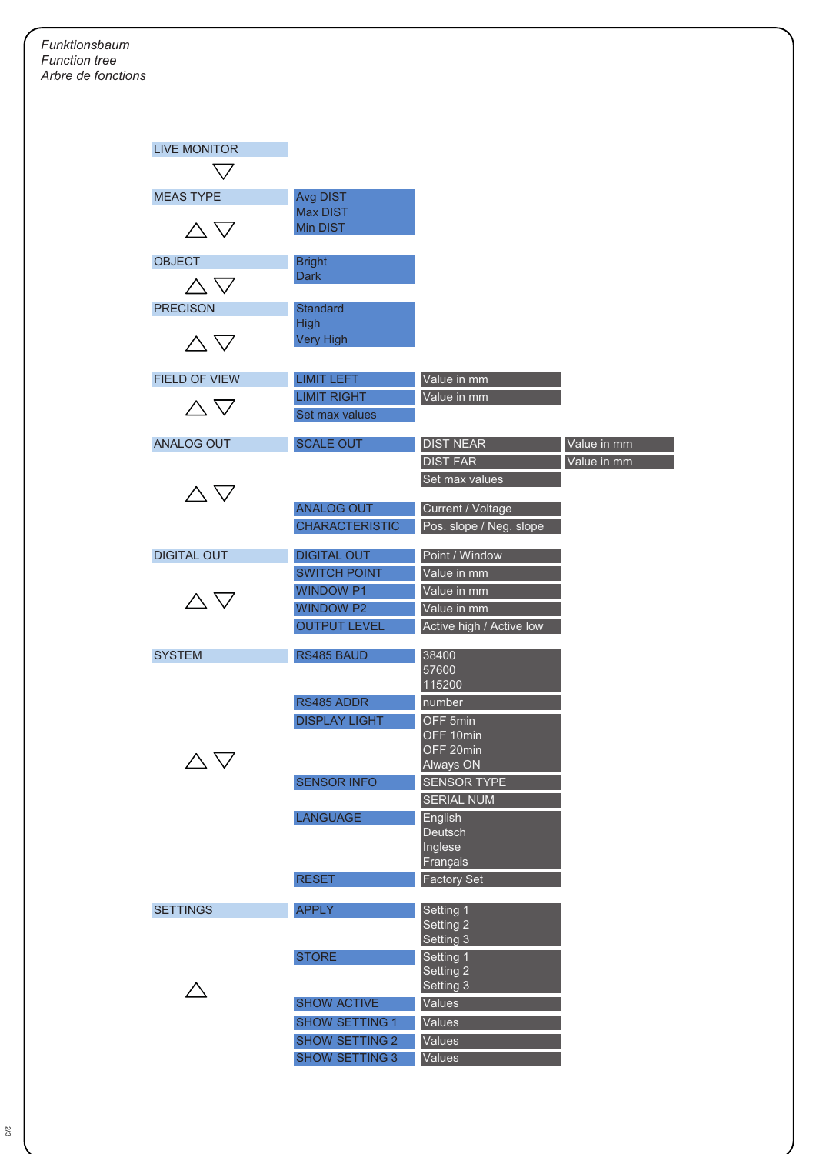| <b>LIVE MONITOR</b>          |                       |                          |             |
|------------------------------|-----------------------|--------------------------|-------------|
|                              |                       |                          |             |
|                              |                       |                          |             |
| <b>MEAS TYPE</b>             | Avg DIST              |                          |             |
|                              | Max DIST              |                          |             |
| $\triangle \nabla$           | Min DIST              |                          |             |
|                              |                       |                          |             |
| <b>OBJECT</b>                | <b>Bright</b>         |                          |             |
| $\land$ $\triangledown$      | <b>Dark</b>           |                          |             |
| <b>PRECISON</b>              | <b>Standard</b>       |                          |             |
|                              | <b>High</b>           |                          |             |
|                              | <b>Very High</b>      |                          |             |
| $\triangle \nabla$           |                       |                          |             |
|                              |                       |                          |             |
| FIELD OF VIEW                | <b>LIMIT LEFT</b>     | Value in mm              |             |
| $\triangle \nabla$           | <b>LIMIT RIGHT</b>    | Value in mm              |             |
|                              | Set max values        |                          |             |
| <b>ANALOG OUT</b>            | <b>SCALE OUT</b>      | <b>DIST NEAR</b>         | Value in mm |
|                              |                       | <b>DIST FAR</b>          | Value in mm |
|                              |                       |                          |             |
| $\triangle \nabla$           |                       | Set max values           |             |
|                              | <b>ANALOG OUT</b>     | Current / Voltage        |             |
|                              | <b>CHARACTERISTIC</b> | Pos. slope / Neg. slope  |             |
|                              |                       |                          |             |
| <b>DIGITAL OUT</b>           | <b>DIGITAL OUT</b>    | Point / Window           |             |
|                              | <b>SWITCH POINT</b>   | Value in mm              |             |
| $\triangle \, \triangledown$ | <b>WINDOW P1</b>      | Value in mm              |             |
|                              | <b>WINDOW P2</b>      | Value in mm              |             |
|                              | <b>OUTPUT LEVEL</b>   | Active high / Active low |             |
|                              |                       |                          |             |
| <b>SYSTEM</b>                | RS485 BAUD            | 38400<br>57600           |             |
|                              |                       | 115200                   |             |
|                              | RS485 ADDR            | number                   |             |
|                              | <b>DISPLAY LIGHT</b>  |                          |             |
|                              |                       | OFF 5min<br>OFF 10min    |             |
|                              |                       | OFF 20min                |             |
|                              |                       | <b>Always ON</b>         |             |
|                              | <b>SENSOR INFO</b>    | <b>SENSOR TYPE</b>       |             |
|                              |                       | <b>SERIAL NUM</b>        |             |
|                              | <b>LANGUAGE</b>       | English                  |             |
|                              |                       | Deutsch                  |             |
|                              |                       | Inglese                  |             |
|                              |                       | Français                 |             |
|                              | <b>RESET</b>          | <b>Factory Set</b>       |             |
| <b>SETTINGS</b>              | <b>APPLY</b>          | Setting 1                |             |
|                              |                       | Setting 2                |             |
|                              |                       | Setting 3                |             |
|                              | <b>STORE</b>          | Setting 1                |             |
|                              |                       | Setting 2                |             |
|                              |                       | Setting 3                |             |
|                              | <b>SHOW ACTIVE</b>    | Values                   |             |
|                              | <b>SHOW SETTING 1</b> | Values                   |             |
|                              | <b>SHOW SETTING 2</b> | Values                   |             |
|                              | <b>SHOW SETTING 3</b> | Values                   |             |
|                              |                       |                          |             |